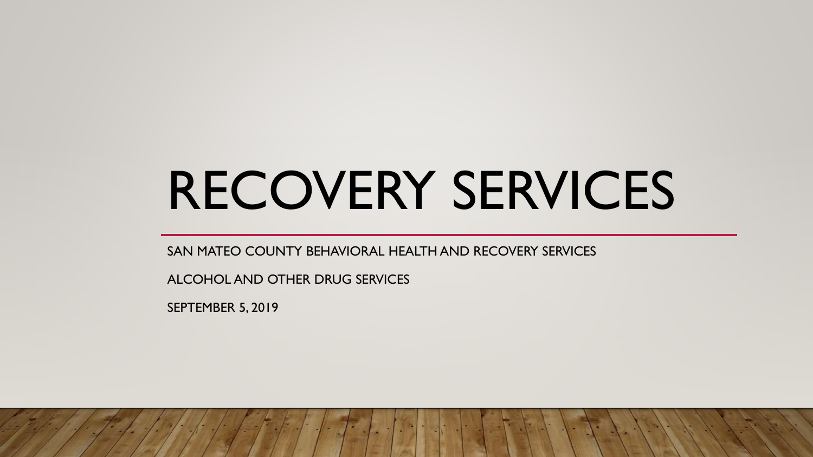# RECOVERY SERVICES

SAN MATEO COUNTY BEHAVIORAL HEALTH AND RECOVERY SERVICES

ALCOHOL AND OTHER DRUG SERVICES

SEPTEMBER 5, 2019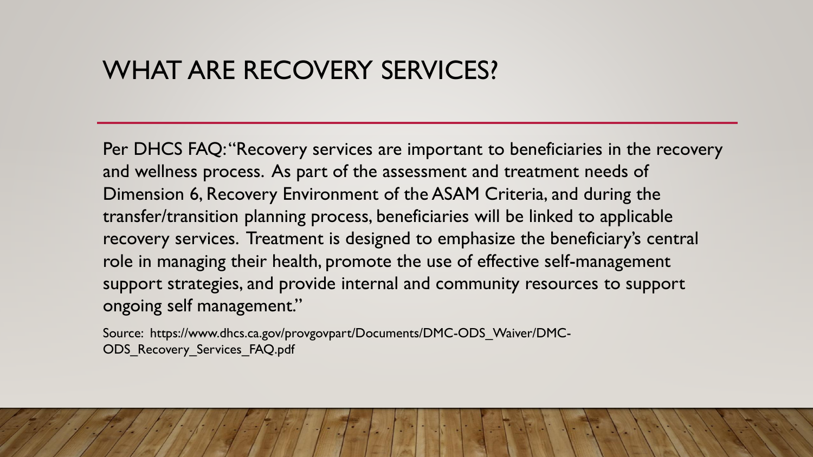## WHAT ARE RECOVERY SERVICES?

Per DHCS FAQ: "Recovery services are important to beneficiaries in the recovery and wellness process. As part of the assessment and treatment needs of Dimension 6, Recovery Environment of the ASAM Criteria, and during the transfer/transition planning process, beneficiaries will be linked to applicable recovery services. Treatment is designed to emphasize the beneficiary's central role in managing their health, promote the use of effective self-management support strategies, and provide internal and community resources to support ongoing self management."

Source: https://www.dhcs.ca.gov/provgovpart/Documents/DMC-ODS\_Waiver/DMC-ODS\_Recovery\_Services\_FAQ.pdf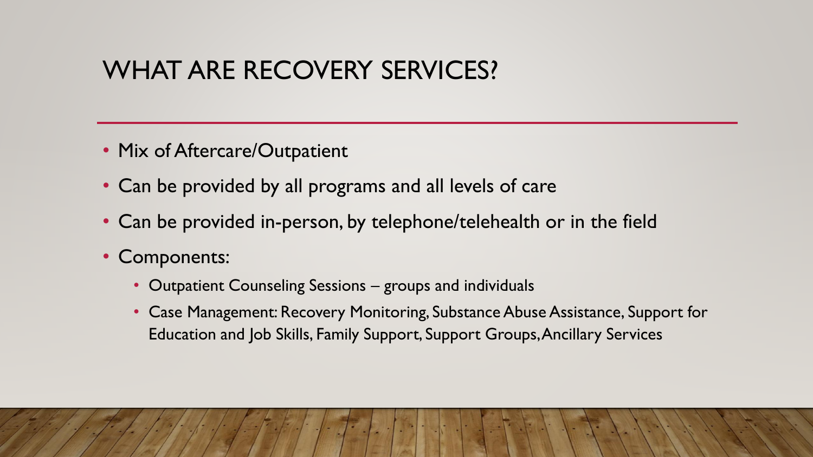## WHAT ARE RECOVERY SERVICES?

- Mix of Aftercare/Outpatient
- Can be provided by all programs and all levels of care
- Can be provided in-person, by telephone/telehealth or in the field
- Components:
	- Outpatient Counseling Sessions groups and individuals
	- Case Management: Recovery Monitoring, Substance Abuse Assistance, Support for Education and Job Skills, Family Support, Support Groups, Ancillary Services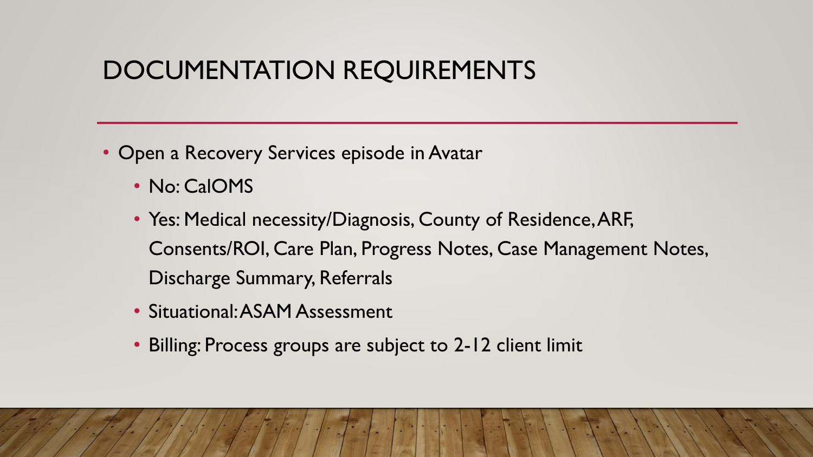# DOCUMENTATION REQUIREMENTS

- Open a Recovery Services episode in Avatar
	- No: CalOMS
	- Yes: Medical necessity/Diagnosis, County of Residence, ARF, Consents/ROI, Care Plan, Progress Notes, Case Management Notes, Discharge Summary, Referrals
	- Situational: ASAM Assessment
	- Billing: Process groups are subject to 2-12 client limit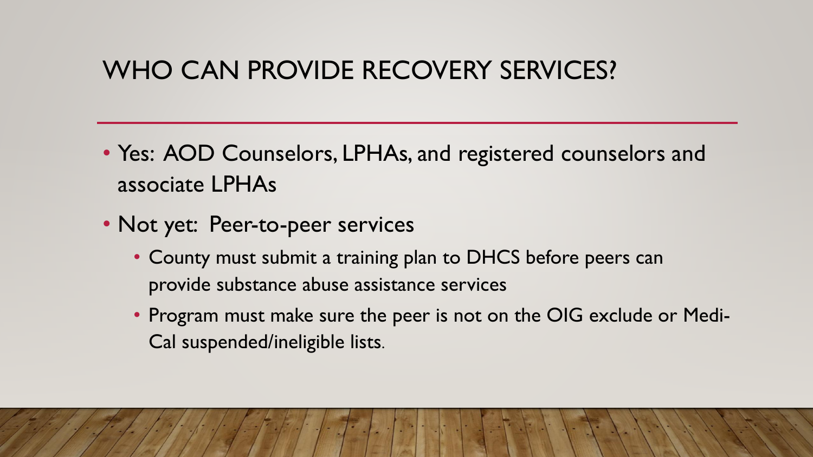## WHO CAN PROVIDE RECOVERY SERVICES?

- Yes: AOD Counselors, LPHAs, and registered counselors and associate LPHAs
- Not yet: Peer-to-peer services
	- County must submit a training plan to DHCS before peers can provide substance abuse assistance services
	- Program must make sure the peer is not on the OIG exclude or Medi-Cal suspended/ineligible lists.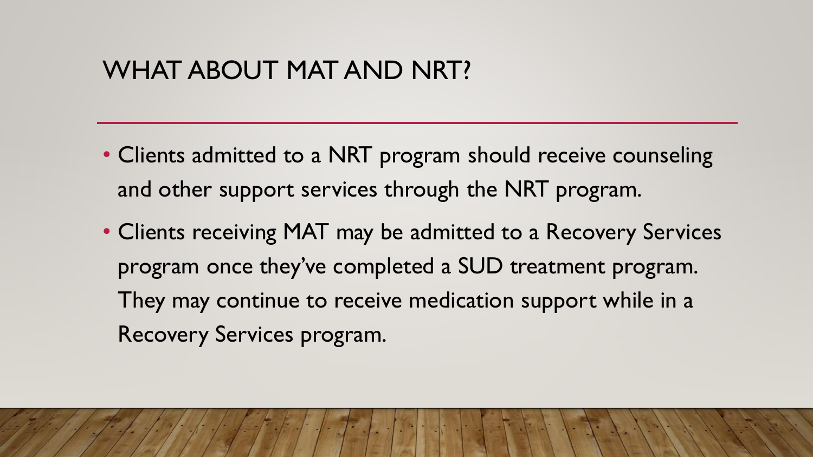## WHAT ABOUT MAT AND NRT?

- Clients admitted to a NRT program should receive counseling and other support services through the NRT program.
- Clients receiving MAT may be admitted to a Recovery Services program once they've completed a SUD treatment program. They may continue to receive medication support while in a Recovery Services program.